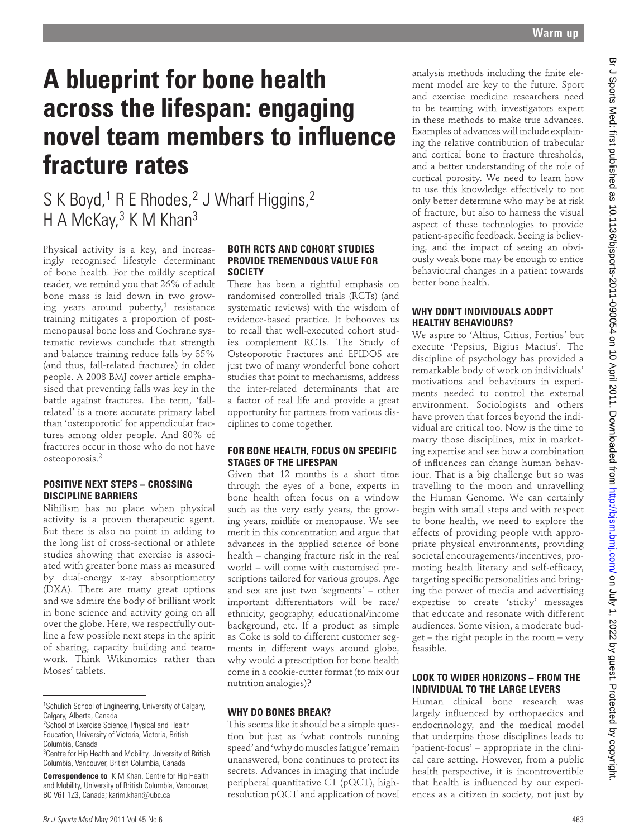# **A blueprint for bone health across the lifespan: engaging novel team members to influence fracture rates**

S K Boyd,<sup>1</sup> R E Rhodes,<sup>2</sup> J Wharf Higgins,<sup>2</sup> H A McKay,<sup>3</sup> K M Khan<sup>3</sup>

Physical activity is a key, and increasingly recognised lifestyle determinant of bone health. For the mildly sceptical reader, we remind you that 26% of adult bone mass is laid down in two growing years around puberty, $1$  resistance training mitigates a proportion of postmenopausal bone loss and Cochrane systematic reviews conclude that strength and balance training reduce falls by 35% (and thus, fall-related fractures) in older people. A 2008 BMJ cover article emphasised that preventing falls was key in the battle against fractures. The term, 'fallrelated' is a more accurate primary label than 'osteoporotic' for appendicular fractures among older people. And 80% of fractures occur in those who do not have osteoporosis.<sup>2</sup>

#### **POSITIVE NEXT STEPS – CROSSING DISCIPLINE BARRIERS**

Nihilism has no place when physical activity is a proven therapeutic agent. But there is also no point in adding to the long list of cross-sectional or athlete studies showing that exercise is associated with greater bone mass as measured by dual-energy x-ray absorptiometry (DXA). There are many great options and we admire the body of brilliant work in bone science and activity going on all over the globe. Here, we respectfully outline a few possible next steps in the spirit of sharing, capacity building and teamwork. Think Wikinomics rather than Moses' tablets.

#### **BOTH RCTS AND COHORT STUDIES PROVIDE TREMENDOUS VALUE FOR SOCIETY**

There has been a rightful emphasis on randomised controlled trials (RCTs) (and systematic reviews) with the wisdom of evidence-based practice. It behooves us to recall that well-executed cohort studies complement RCTs. The Study of Osteoporotic Fractures and EPIDOS are just two of many wonderful bone cohort studies that point to mechanisms, address the inter-related determinants that are a factor of real life and provide a great opportunity for partners from various disciplines to come together.

### **FOR BONE HEALTH, FOCUS ON SPECIFIC STAGES OF THE LIFESPAN**

Given that 12 months is a short time through the eyes of a bone, experts in bone health often focus on a window such as the very early years, the growing years, midlife or menopause. We see merit in this concentration and argue that advances in the applied science of bone health – changing fracture risk in the real world – will come with customised prescriptions tailored for various groups. Age and sex are just two 'segments' – other important differentiators will be race/ ethnicity, geography, educational/income background, etc. If a product as simple as Coke is sold to different customer segments in different ways around globe, why would a prescription for bone health come in a cookie-cutter format (to mix our nutrition analogies)?

# **WHY DO BONES BREAK?**

This seems like it should be a simple question but just as 'what controls running speed' and 'why do muscles fatigue' remain unanswered, bone continues to protect its secrets. Advances in imaging that include peripheral quantitative CT (pQCT), highresolution pQCT and application of novel

analysis methods including the finite element model are key to the future. Sport and exercise medicine researchers need to be teaming with investigators expert in these methods to make true advances. Examples of advances will include explaining the relative contribution of trabecular and cortical bone to fracture thresholds, and a better understanding of the role of cortical porosity. We need to learn how to use this knowledge effectively to not only better determine who may be at risk of fracture, but also to harness the visual aspect of these technologies to provide patient-specific feedback. Seeing is believing, and the impact of seeing an obviously weak bone may be enough to entice behavioural changes in a patient towards better bone health.

# **WHY DON'T INDIVIDUALS ADOPT HEALTHY BEHAVIOURS?**

We aspire to 'Altius, Citius, Fortius' but execute 'Pepsius, Bigius Macius'. The discipline of psychology has provided a remarkable body of work on individuals' motivations and behaviours in experiments needed to control the external environment. Sociologists and others have proven that forces beyond the individual are critical too. Now is the time to marry those disciplines, mix in marketing expertise and see how a combination of influences can change human behaviour. That is a big challenge but so was travelling to the moon and unravelling the Human Genome. We can certainly begin with small steps and with respect to bone health, we need to explore the effects of providing people with appropriate physical environments, providing societal encouragements/incentives, promoting health literacy and self-efficacy, targeting specific personalities and bringing the power of media and advertising expertise to create 'sticky' messages that educate and resonate with different audiences. Some vision, a moderate budget – the right people in the room – very feasible. **A blueprint for bone health as a comparison of the state as a comparison of the state as a comparison of the state as a comparison of the state as a comparison of the state as a comparison of the state as 10.1136/by a co** 

# **LOOK TO WIDER HORIZONS – FROM THE INDIVIDUAL TO THE LARGE LEVERS**

Human clinical bone research was largely influenced by orthopaedics and endocrinology, and the medical model that underpins those disciplines leads to 'patient-focus' – appropriate in the clinical care setting. However, from a public health perspective, it is incontrovertible that health is influenced by our experiences as a citizen in society, not just by

<sup>&</sup>lt;sup>1</sup>Schulich School of Engineering, University of Calgary, Calgary, Alberta, Canada

<sup>&</sup>lt;sup>2</sup>School of Exercise Science, Physical and Health Education, University of Victoria, Victoria, British Columbia, Canada

<sup>&</sup>lt;sup>3</sup> Centre for Hip Health and Mobility, University of British Columbia, Vancouver, British Columbia, Canada

**Correspondence to** K M Khan, Centre for Hip Health and Mobility, University of British Columbia, Vancouver, BC V6T 1Z3, Canada; karim.khan@ubc.ca